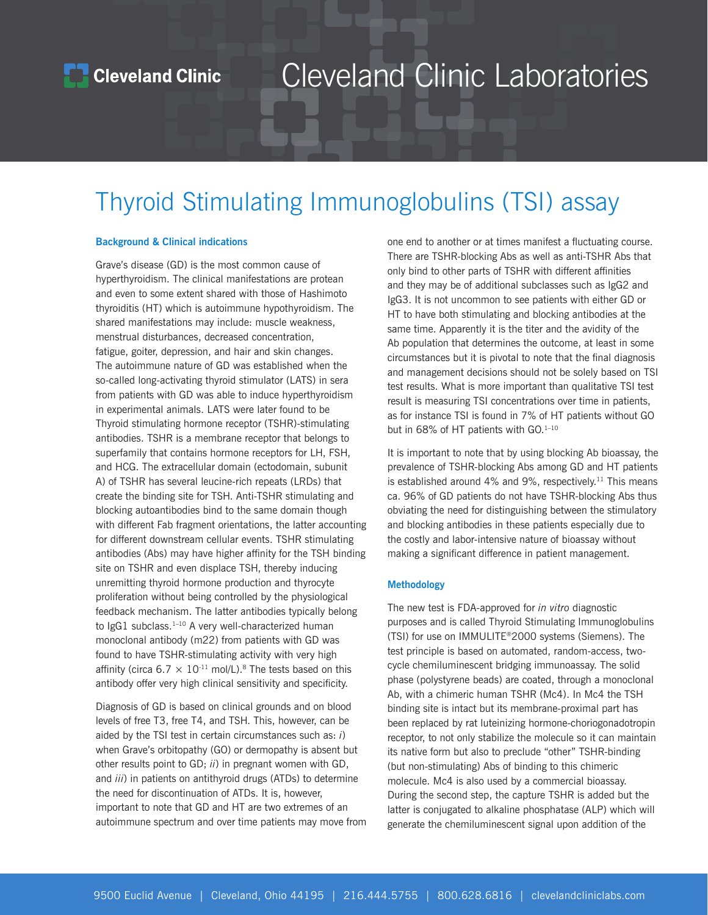## Cleveland Clinic Laboratories

### Thyroid Stimulating Immunoglobulins (TSI) assay

### **Background & Clinical indications**

Grave's disease (GD) is the most common cause of hyperthyroidism. The clinical manifestations are protean and even to some extent shared with those of Hashimoto thyroiditis (HT) which is autoimmune hypothyroidism. The shared manifestations may include: muscle weakness, menstrual disturbances, decreased concentration, fatigue, goiter, depression, and hair and skin changes. The autoimmune nature of GD was established when the so-called long-activating thyroid stimulator (LATS) in sera from patients with GD was able to induce hyperthyroidism in experimental animals. LATS were later found to be Thyroid stimulating hormone receptor (TSHR)-stimulating antibodies. TSHR is a membrane receptor that belongs to superfamily that contains hormone receptors for LH, FSH, and HCG. The extracellular domain (ectodomain, subunit A) of TSHR has several leucine-rich repeats (LRDs) that create the binding site for TSH. Anti-TSHR stimulating and blocking autoantibodies bind to the same domain though with different Fab fragment orientations, the latter accounting for different downstream cellular events. TSHR stimulating antibodies (Abs) may have higher affinity for the TSH binding site on TSHR and even displace TSH, thereby inducing unremitting thyroid hormone production and thyrocyte proliferation without being controlled by the physiological feedback mechanism. The latter antibodies typically belong to IgG1 subclass. $1-10$  A very well-characterized human monoclonal antibody (m22) from patients with GD was found to have TSHR-stimulating activity with very high affinity (circa  $6.7 \times 10^{-11}$  mol/L).<sup>8</sup> The tests based on this antibody offer very high clinical sensitivity and specificity.

Diagnosis of GD is based on clinical grounds and on blood levels of free T3, free T4, and TSH. This, however, can be aided by the TSI test in certain circumstances such as: *i*) when Grave's orbitopathy (GO) or dermopathy is absent but other results point to GD; *ii*) in pregnant women with GD, and *iii*) in patients on antithyroid drugs (ATDs) to determine the need for discontinuation of ATDs. It is, however, important to note that GD and HT are two extremes of an autoimmune spectrum and over time patients may move from one end to another or at times manifest a fluctuating course. There are TSHR-blocking Abs as well as anti-TSHR Abs that only bind to other parts of TSHR with different affinities and they may be of additional subclasses such as IgG2 and IgG3. It is not uncommon to see patients with either GD or HT to have both stimulating and blocking antibodies at the same time. Apparently it is the titer and the avidity of the Ab population that determines the outcome, at least in some circumstances but it is pivotal to note that the final diagnosis and management decisions should not be solely based on TSI test results. What is more important than qualitative TSI test result is measuring TSI concentrations over time in patients, as for instance TSI is found in 7% of HT patients without GO but in 68% of HT patients with GO.<sup>1-10</sup>

It is important to note that by using blocking Ab bioassay, the prevalence of TSHR-blocking Abs among GD and HT patients is established around 4% and 9%, respectively.<sup>11</sup> This means ca. 96% of GD patients do not have TSHR-blocking Abs thus obviating the need for distinguishing between the stimulatory and blocking antibodies in these patients especially due to the costly and labor-intensive nature of bioassay without making a significant difference in patient management.

#### **Methodology**

The new test is FDA-approved for *in vitro* diagnostic purposes and is called Thyroid Stimulating Immunoglobulins (TSI) for use on IMMULITE®2000 systems (Siemens). The test principle is based on automated, random-access, twocycle chemiluminescent bridging immunoassay. The solid phase (polystyrene beads) are coated, through a monoclonal Ab, with a chimeric human TSHR (Mc4). In Mc4 the TSH binding site is intact but its membrane-proximal part has been replaced by rat luteinizing hormone-choriogonadotropin receptor, to not only stabilize the molecule so it can maintain its native form but also to preclude "other" TSHR-binding (but non-stimulating) Abs of binding to this chimeric molecule. Mc4 is also used by a commercial bioassay. During the second step, the capture TSHR is added but the latter is conjugated to alkaline phosphatase (ALP) which will generate the chemiluminescent signal upon addition of the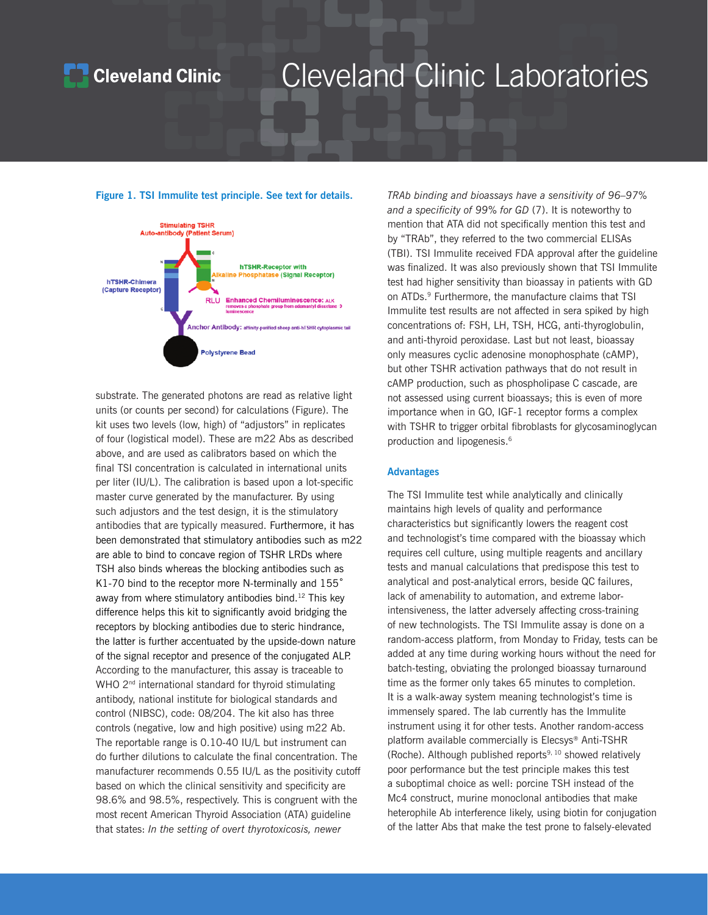### **Cleveland Clinic**

## Cleveland Clinic Laboratories

**Figure 1. TSI Immulite test principle. See text for details.** 



substrate. The generated photons are read as relative light units (or counts per second) for calculations (Figure). The kit uses two levels (low, high) of "adjustors" in replicates of four (logistical model). These are m22 Abs as described above, and are used as calibrators based on which the final TSI concentration is calculated in international units per liter (IU/L). The calibration is based upon a lot-specific master curve generated by the manufacturer. By using such adjustors and the test design, it is the stimulatory antibodies that are typically measured. Furthermore, it has been demonstrated that stimulatory antibodies such as m22 are able to bind to concave region of TSHR LRDs where TSH also binds whereas the blocking antibodies such as K1-70 bind to the receptor more N-terminally and 155° away from where stimulatory antibodies bind.<sup>12</sup> This key difference helps this kit to significantly avoid bridging the receptors by blocking antibodies due to steric hindrance, the latter is further accentuated by the upside-down nature of the signal receptor and presence of the conjugated ALP. According to the manufacturer, this assay is traceable to WHO 2<sup>nd</sup> international standard for thyroid stimulating antibody, national institute for biological standards and control (NIBSC), code: 08/204. The kit also has three controls (negative, low and high positive) using m22 Ab. The reportable range is 0.10-40 IU/L but instrument can do further dilutions to calculate the final concentration. The manufacturer recommends 0.55 IU/L as the positivity cutoff based on which the clinical sensitivity and specificity are 98.6% and 98.5%, respectively. This is congruent with the most recent American Thyroid Association (ATA) guideline that states: *In the setting of overt thyrotoxicosis, newer* 

*TRAb binding and bioassays have a sensitivity of 96–97% and a specificity of 99% for GD* (7). It is noteworthy to mention that ATA did not specifically mention this test and by "TRAb", they referred to the two commercial ELISAs (TBI). TSI Immulite received FDA approval after the guideline was finalized. It was also previously shown that TSI Immulite test had higher sensitivity than bioassay in patients with GD on ATDs.9 Furthermore, the manufacture claims that TSI Immulite test results are not affected in sera spiked by high concentrations of: FSH, LH, TSH, HCG, anti-thyroglobulin, and anti-thyroid peroxidase. Last but not least, bioassay only measures cyclic adenosine monophosphate (cAMP), but other TSHR activation pathways that do not result in cAMP production, such as phospholipase C cascade, are not assessed using current bioassays; this is even of more importance when in GO, IGF-1 receptor forms a complex with TSHR to trigger orbital fibroblasts for glycosaminoglycan production and lipogenesis.<sup>6</sup>

#### **Advantages**

The TSI Immulite test while analytically and clinically maintains high levels of quality and performance characteristics but significantly lowers the reagent cost and technologist's time compared with the bioassay which requires cell culture, using multiple reagents and ancillary tests and manual calculations that predispose this test to analytical and post-analytical errors, beside QC failures, lack of amenability to automation, and extreme laborintensiveness, the latter adversely affecting cross-training of new technologists. The TSI Immulite assay is done on a random-access platform, from Monday to Friday, tests can be added at any time during working hours without the need for batch-testing, obviating the prolonged bioassay turnaround time as the former only takes 65 minutes to completion. It is a walk-away system meaning technologist's time is immensely spared. The lab currently has the Immulite instrument using it for other tests. Another random-access platform available commercially is Elecsys® Anti-TSHR (Roche). Although published reports<sup>9, 10</sup> showed relatively poor performance but the test principle makes this test a suboptimal choice as well: porcine TSH instead of the Mc4 construct, murine monoclonal antibodies that make heterophile Ab interference likely, using biotin for conjugation of the latter Abs that make the test prone to falsely-elevated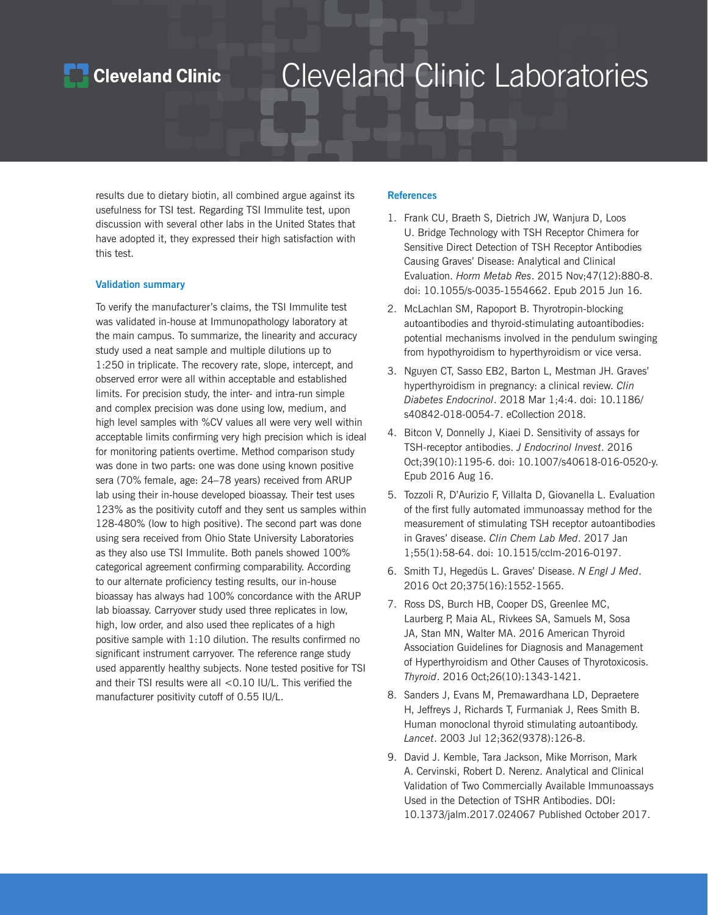### **Cleveland Clinic**

## Cleveland Clinic Laboratories

results due to dietary biotin, all combined argue against its usefulness for TSI test. Regarding TSI Immulite test, upon discussion with several other labs in the United States that have adopted it, they expressed their high satisfaction with this test.

### **Validation summary**

To verify the manufacturer's claims, the TSI Immulite test was validated in-house at Immunopathology laboratory at the main campus. To summarize, the linearity and accuracy study used a neat sample and multiple dilutions up to 1:250 in triplicate. The recovery rate, slope, intercept, and observed error were all within acceptable and established limits. For precision study, the inter- and intra-run simple and complex precision was done using low, medium, and high level samples with %CV values all were very well within acceptable limits confirming very high precision which is ideal for monitoring patients overtime. Method comparison study was done in two parts: one was done using known positive sera (70% female, age: 24–78 years) received from ARUP lab using their in-house developed bioassay. Their test uses 123% as the positivity cutoff and they sent us samples within 128-480% (low to high positive). The second part was done using sera received from Ohio State University Laboratories as they also use TSI Immulite. Both panels showed 100% categorical agreement confirming comparability. According to our alternate proficiency testing results, our in-house bioassay has always had 100% concordance with the ARUP lab bioassay. Carryover study used three replicates in low, high, low order, and also used thee replicates of a high positive sample with 1:10 dilution. The results confirmed no significant instrument carryover. The reference range study used apparently healthy subjects. None tested positive for TSI and their TSI results were all <0.10 IU/L. This verified the manufacturer positivity cutoff of 0.55 IU/L.

### **References**

- 1. [Frank CU](https://www.ncbi.nlm.nih.gov/pubmed/?term=Frank%20CU%5BAuthor%5D&cauthor=true&cauthor_uid=26079838), [Braeth S,](https://www.ncbi.nlm.nih.gov/pubmed/?term=Braeth%20S%5BAuthor%5D&cauthor=true&cauthor_uid=26079838) [Dietrich JW,](https://www.ncbi.nlm.nih.gov/pubmed/?term=Dietrich%20JW%5BAuthor%5D&cauthor=true&cauthor_uid=26079838) [Wanjura D,](https://www.ncbi.nlm.nih.gov/pubmed/?term=Wanjura%20D%5BAuthor%5D&cauthor=true&cauthor_uid=26079838) [Loos](https://www.ncbi.nlm.nih.gov/pubmed/?term=Loos%20U%5BAuthor%5D&cauthor=true&cauthor_uid=26079838)  [U.](https://www.ncbi.nlm.nih.gov/pubmed/?term=Loos%20U%5BAuthor%5D&cauthor=true&cauthor_uid=26079838) Bridge Technology with TSH Receptor Chimera for Sensitive Direct Detection of TSH Receptor Antibodies Causing Graves' Disease: Analytical and Clinical Evaluation. *[Horm Metab Res](https://www.ncbi.nlm.nih.gov/pubmed/?term=c+u+frank+bridge+technology+tsh)*. 2015 Nov;47(12):880-8. doi: 10.1055/s-0035-1554662. Epub 2015 Jun 16.
- 2. [McLachlan SM,](https://www.ncbi.nlm.nih.gov/pubmed/?term=McLachlan%20SM%5BAuthor%5D&cauthor=true&cauthor_uid=23025526) [Rapoport B](https://www.ncbi.nlm.nih.gov/pubmed/?term=Rapoport%20B%5BAuthor%5D&cauthor=true&cauthor_uid=23025526). Thyrotropin-blocking autoantibodies and thyroid-stimulating autoantibodies: potential mechanisms involved in the pendulum swinging from hypothyroidism to hyperthyroidism or vice versa.
- 3. [Nguyen CT](https://www.ncbi.nlm.nih.gov/pubmed/?term=Nguyen%20CT%5BAuthor%5D&cauthor=true&cauthor_uid=29507751), [Sasso EB](https://www.ncbi.nlm.nih.gov/pubmed/?term=Sasso%20EB%5BAuthor%5D&cauthor=true&cauthor_uid=29507751)2, [Barton L,](https://www.ncbi.nlm.nih.gov/pubmed/?term=Barton%20L%5BAuthor%5D&cauthor=true&cauthor_uid=29507751) [Mestman JH](https://www.ncbi.nlm.nih.gov/pubmed/?term=Mestman%20JH%5BAuthor%5D&cauthor=true&cauthor_uid=29507751). Graves' hyperthyroidism in pregnancy: a clinical review. *[Clin](https://www.ncbi.nlm.nih.gov/pubmed/29507751)  [Diabetes Endocrinol](https://www.ncbi.nlm.nih.gov/pubmed/29507751)*. 2018 Mar 1;4:4. doi: 10.1186/ s40842-018-0054-7. eCollection 2018.
- 4. [Bitcon V,](https://www.ncbi.nlm.nih.gov/pubmed/?term=Bitcon%20V%5BAuthor%5D&cauthor=true&cauthor_uid=27531172) [Donnelly J](https://www.ncbi.nlm.nih.gov/pubmed/?term=Donnelly%20J%5BAuthor%5D&cauthor=true&cauthor_uid=27531172), [Kiaei D](https://www.ncbi.nlm.nih.gov/pubmed/?term=Kiaei%20D%5BAuthor%5D&cauthor=true&cauthor_uid=27531172). Sensitivity of assays for TSH-receptor antibodies. *[J Endocrinol Invest](https://www.ncbi.nlm.nih.gov/pubmed/27531172)*. 2016 Oct;39(10):1195-6. doi: 10.1007/s40618-016-0520-y. Epub 2016 Aug 16.
- 5. [Tozzoli R](https://www.ncbi.nlm.nih.gov/pubmed/?term=Tozzoli%20R%5BAuthor%5D&cauthor=true&cauthor_uid=27331310), [D'Aurizio F,](https://www.ncbi.nlm.nih.gov/pubmed/?term=D) [Villalta D](https://www.ncbi.nlm.nih.gov/pubmed/?term=Villalta%20D%5BAuthor%5D&cauthor=true&cauthor_uid=27331310), [Giovanella L](https://www.ncbi.nlm.nih.gov/pubmed/?term=Giovanella%20L%5BAuthor%5D&cauthor=true&cauthor_uid=27331310). Evaluation of the first fully automated immunoassay method for the measurement of stimulating TSH receptor autoantibodies in Graves' disease. *[Clin Chem Lab Med](https://www.ncbi.nlm.nih.gov/pubmed/27331310)*. 2017 Jan 1;55(1):58-64. doi: 10.1515/cclm-2016-0197.
- 6. [Smith TJ,](https://www.ncbi.nlm.nih.gov/pubmed/?term=Smith%20TJ%5BAuthor%5D&cauthor=true&cauthor_uid=27797318) [Hegedüs L](https://www.ncbi.nlm.nih.gov/pubmed/?term=Heged%C3%BCs%20L%5BAuthor%5D&cauthor=true&cauthor_uid=27797318). Graves' Disease. *[N Engl J Med](https://www.ncbi.nlm.nih.gov/pubmed/27797318)*. 2016 Oct 20;375(16):1552-1565.
- 7. [Ross DS](https://www.ncbi.nlm.nih.gov/pubmed/?term=Ross%20DS%5BAuthor%5D&cauthor=true&cauthor_uid=27521067), [Burch HB,](https://www.ncbi.nlm.nih.gov/pubmed/?term=Burch%20HB%5BAuthor%5D&cauthor=true&cauthor_uid=27521067) [Cooper DS](https://www.ncbi.nlm.nih.gov/pubmed/?term=Cooper%20DS%5BAuthor%5D&cauthor=true&cauthor_uid=27521067), [Greenlee MC,](https://www.ncbi.nlm.nih.gov/pubmed/?term=Greenlee%20MC%5BAuthor%5D&cauthor=true&cauthor_uid=27521067) [Laurberg P,](https://www.ncbi.nlm.nih.gov/pubmed/?term=Laurberg%20P%5BAuthor%5D&cauthor=true&cauthor_uid=27521067) [Maia AL](https://www.ncbi.nlm.nih.gov/pubmed/?term=Maia%20AL%5BAuthor%5D&cauthor=true&cauthor_uid=27521067), [Rivkees SA,](https://www.ncbi.nlm.nih.gov/pubmed/?term=Rivkees%20SA%5BAuthor%5D&cauthor=true&cauthor_uid=27521067) [Samuels M,](https://www.ncbi.nlm.nih.gov/pubmed/?term=Samuels%20M%5BAuthor%5D&cauthor=true&cauthor_uid=27521067) [Sosa](https://www.ncbi.nlm.nih.gov/pubmed/?term=Sosa%20JA%5BAuthor%5D&cauthor=true&cauthor_uid=27521067)  [JA,](https://www.ncbi.nlm.nih.gov/pubmed/?term=Sosa%20JA%5BAuthor%5D&cauthor=true&cauthor_uid=27521067) [Stan MN](https://www.ncbi.nlm.nih.gov/pubmed/?term=Stan%20MN%5BAuthor%5D&cauthor=true&cauthor_uid=27521067), [Walter MA.](https://www.ncbi.nlm.nih.gov/pubmed/?term=Walter%20MA%5BAuthor%5D&cauthor=true&cauthor_uid=27521067) 2016 American Thyroid Association Guidelines for Diagnosis and Management of Hyperthyroidism and Other Causes of Thyrotoxicosis. *[Thyroid](https://www.ncbi.nlm.nih.gov/pubmed/27521067)*. 2016 Oct;26(10):1343-1421.
- 8. [Sanders J,](https://www.ncbi.nlm.nih.gov/pubmed/?term=Sanders%20J%5BAuthor%5D&cauthor=true&cauthor_uid=12867115) [Evans M,](https://www.ncbi.nlm.nih.gov/pubmed/?term=Evans%20M%5BAuthor%5D&cauthor=true&cauthor_uid=12867115) [Premawardhana LD,](https://www.ncbi.nlm.nih.gov/pubmed/?term=Premawardhana%20LD%5BAuthor%5D&cauthor=true&cauthor_uid=12867115) [Depraetere](https://www.ncbi.nlm.nih.gov/pubmed/?term=Depraetere%20H%5BAuthor%5D&cauthor=true&cauthor_uid=12867115)  [H,](https://www.ncbi.nlm.nih.gov/pubmed/?term=Depraetere%20H%5BAuthor%5D&cauthor=true&cauthor_uid=12867115) [Jeffreys J](https://www.ncbi.nlm.nih.gov/pubmed/?term=Jeffreys%20J%5BAuthor%5D&cauthor=true&cauthor_uid=12867115), [Richards T](https://www.ncbi.nlm.nih.gov/pubmed/?term=Richards%20T%5BAuthor%5D&cauthor=true&cauthor_uid=12867115), [Furmaniak J,](https://www.ncbi.nlm.nih.gov/pubmed/?term=Furmaniak%20J%5BAuthor%5D&cauthor=true&cauthor_uid=12867115) [Rees Smith B.](https://www.ncbi.nlm.nih.gov/pubmed/?term=Rees%20Smith%20B%5BAuthor%5D&cauthor=true&cauthor_uid=12867115) Human monoclonal thyroid stimulating autoantibody. *[Lancet](https://www.ncbi.nlm.nih.gov/pubmed/?term=sanders+the+lancet+tshr)*. 2003 Jul 12;362(9378):126-8.
- 9. David J. Kemble, Tara Jackson, Mike Morrison, Mark A. Cervinski, Robert D. Nerenz. Analytical and Clinical Validation of Two Commercially Available Immunoassays Used in the Detection of TSHR Antibodies. DOI: 10.1373/jalm.2017.024067 Published October 2017.